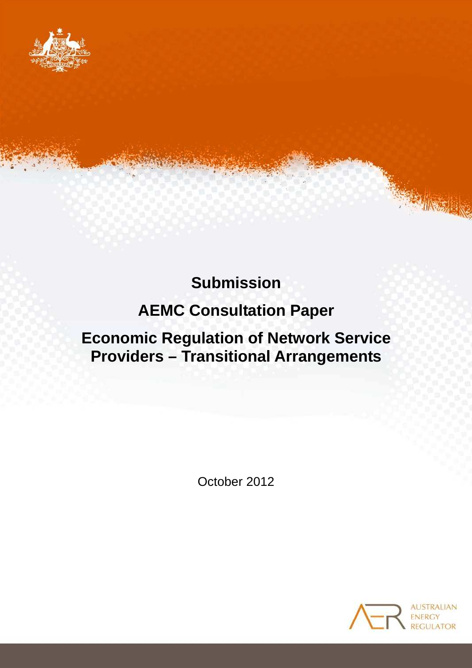

# **Submission**

# **AEMC Consultation Paper**

# **Economic Regulation of Network Service Providers – Transitional Arrangements**

October 2012

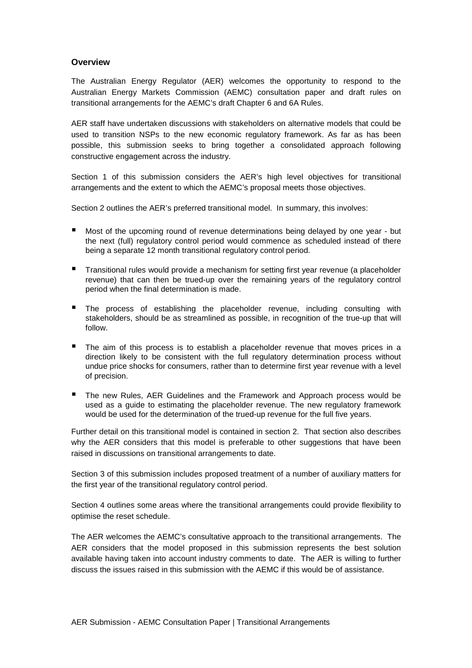#### **Overview**

The Australian Energy Regulator (AER) welcomes the opportunity to respond to the Australian Energy Markets Commission (AEMC) consultation paper and draft rules on transitional arrangements for the AEMC's draft Chapter 6 and 6A Rules.

AER staff have undertaken discussions with stakeholders on alternative models that could be used to transition NSPs to the new economic regulatory framework. As far as has been possible, this submission seeks to bring together a consolidated approach following constructive engagement across the industry.

Section 1 of this submission considers the AER's high level objectives for transitional arrangements and the extent to which the AEMC's proposal meets those objectives.

Section 2 outlines the AER's preferred transitional model. In summary, this involves:

- Most of the upcoming round of revenue determinations being delayed by one year but the next (full) regulatory control period would commence as scheduled instead of there being a separate 12 month transitional regulatory control period.
- **Transitional rules would provide a mechanism for setting first year revenue (a placeholder** revenue) that can then be trued-up over the remaining years of the regulatory control period when the final determination is made.
- The process of establishing the placeholder revenue, including consulting with stakeholders, should be as streamlined as possible, in recognition of the true-up that will follow.
- The aim of this process is to establish a placeholder revenue that moves prices in a direction likely to be consistent with the full regulatory determination process without undue price shocks for consumers, rather than to determine first year revenue with a level of precision.
- The new Rules, AER Guidelines and the Framework and Approach process would be used as a guide to estimating the placeholder revenue. The new regulatory framework would be used for the determination of the trued-up revenue for the full five years.

Further detail on this transitional model is contained in section 2. That section also describes why the AER considers that this model is preferable to other suggestions that have been raised in discussions on transitional arrangements to date.

Section 3 of this submission includes proposed treatment of a number of auxiliary matters for the first year of the transitional regulatory control period.

Section 4 outlines some areas where the transitional arrangements could provide flexibility to optimise the reset schedule.

The AER welcomes the AEMC's consultative approach to the transitional arrangements. The AER considers that the model proposed in this submission represents the best solution available having taken into account industry comments to date. The AER is willing to further discuss the issues raised in this submission with the AEMC if this would be of assistance.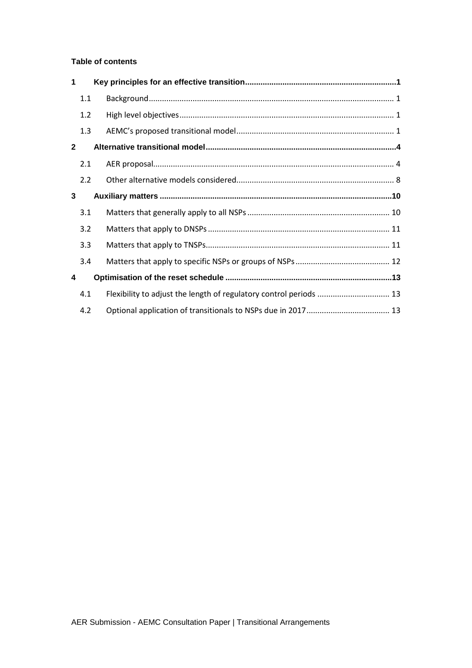#### **Table of contents**

| 1            |     |                                                                    |  |
|--------------|-----|--------------------------------------------------------------------|--|
|              | 1.1 |                                                                    |  |
|              | 1.2 |                                                                    |  |
|              | 1.3 |                                                                    |  |
| $\mathbf{2}$ |     |                                                                    |  |
|              | 2.1 |                                                                    |  |
|              | 2.2 |                                                                    |  |
| 3            |     |                                                                    |  |
|              | 3.1 |                                                                    |  |
|              | 3.2 |                                                                    |  |
|              | 3.3 |                                                                    |  |
|              | 3.4 |                                                                    |  |
| 4            |     |                                                                    |  |
|              | 4.1 | Flexibility to adjust the length of regulatory control periods  13 |  |
|              | 4.2 |                                                                    |  |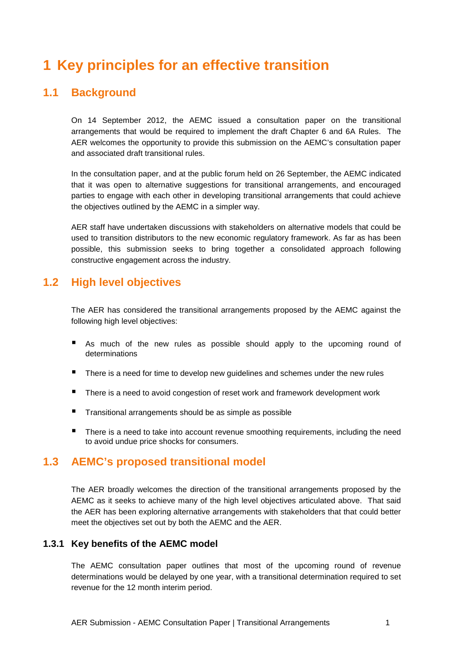## **1 Key principles for an effective transition**

## **1.1 Background**

On 14 September 2012, the AEMC issued a consultation paper on the transitional arrangements that would be required to implement the draft Chapter 6 and 6A Rules. The AER welcomes the opportunity to provide this submission on the AEMC's consultation paper and associated draft transitional rules.

In the consultation paper, and at the public forum held on 26 September, the AEMC indicated that it was open to alternative suggestions for transitional arrangements, and encouraged parties to engage with each other in developing transitional arrangements that could achieve the objectives outlined by the AEMC in a simpler way.

AER staff have undertaken discussions with stakeholders on alternative models that could be used to transition distributors to the new economic regulatory framework. As far as has been possible, this submission seeks to bring together a consolidated approach following constructive engagement across the industry.

## **1.2 High level objectives**

The AER has considered the transitional arrangements proposed by the AEMC against the following high level objectives:

- As much of the new rules as possible should apply to the upcoming round of determinations
- **There is a need for time to develop new guidelines and schemes under the new rules**
- There is a need to avoid congestion of reset work and framework development work
- Transitional arrangements should be as simple as possible
- There is a need to take into account revenue smoothing requirements, including the need to avoid undue price shocks for consumers.

## **1.3 AEMC's proposed transitional model**

The AER broadly welcomes the direction of the transitional arrangements proposed by the AEMC as it seeks to achieve many of the high level objectives articulated above. That said the AER has been exploring alternative arrangements with stakeholders that that could better meet the objectives set out by both the AEMC and the AER.

#### **1.3.1 Key benefits of the AEMC model**

The AEMC consultation paper outlines that most of the upcoming round of revenue determinations would be delayed by one year, with a transitional determination required to set revenue for the 12 month interim period.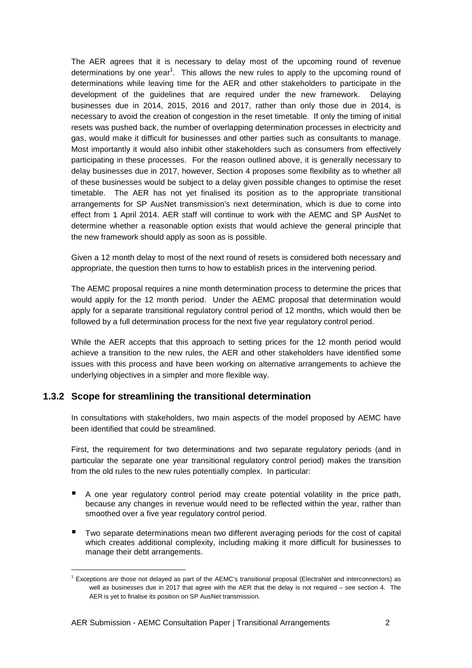The AER agrees that it is necessary to delay most of the upcoming round of revenue determinations by one year<sup>1</sup>. This allows the new rules to apply to the upcoming round of determinations while leaving time for the AER and other stakeholders to participate in the development of the guidelines that are required under the new framework. Delaying businesses due in 2014, 2015, 2016 and 2017, rather than only those due in 2014, is necessary to avoid the creation of congestion in the reset timetable. If only the timing of initial resets was pushed back, the number of overlapping determination processes in electricity and gas, would make it difficult for businesses and other parties such as consultants to manage. Most importantly it would also inhibit other stakeholders such as consumers from effectively participating in these processes. For the reason outlined above, it is generally necessary to delay businesses due in 2017, however, Section 4 proposes some flexibility as to whether all of these businesses would be subject to a delay given possible changes to optimise the reset timetable. The AER has not yet finalised its position as to the appropriate transitional arrangements for SP AusNet transmission's next determination, which is due to come into effect from 1 April 2014. AER staff will continue to work with the AEMC and SP AusNet to determine whether a reasonable option exists that would achieve the general principle that the new framework should apply as soon as is possible.

Given a 12 month delay to most of the next round of resets is considered both necessary and appropriate, the question then turns to how to establish prices in the intervening period.

The AEMC proposal requires a nine month determination process to determine the prices that would apply for the 12 month period. Under the AEMC proposal that determination would apply for a separate transitional regulatory control period of 12 months, which would then be followed by a full determination process for the next five year regulatory control period.

While the AER accepts that this approach to setting prices for the 12 month period would achieve a transition to the new rules, the AER and other stakeholders have identified some issues with this process and have been working on alternative arrangements to achieve the underlying objectives in a simpler and more flexible way.

#### **1.3.2 Scope for streamlining the transitional determination**

 $\overline{a}$ 

In consultations with stakeholders, two main aspects of the model proposed by AEMC have been identified that could be streamlined.

First, the requirement for two determinations and two separate regulatory periods (and in particular the separate one year transitional regulatory control period) makes the transition from the old rules to the new rules potentially complex. In particular:

- A one year regulatory control period may create potential volatility in the price path, because any changes in revenue would need to be reflected within the year, rather than smoothed over a five year regulatory control period.
- Two separate determinations mean two different averaging periods for the cost of capital which creates additional complexity, including making it more difficult for businesses to manage their debt arrangements.

<sup>&</sup>lt;sup>1</sup> Exceptions are those not delayed as part of the AEMC's transitional proposal (ElectraNet and interconnectors) as well as businesses due in 2017 that agree with the AER that the delay is not required – see section 4. The AER is yet to finalise its position on SP AusNet transmission.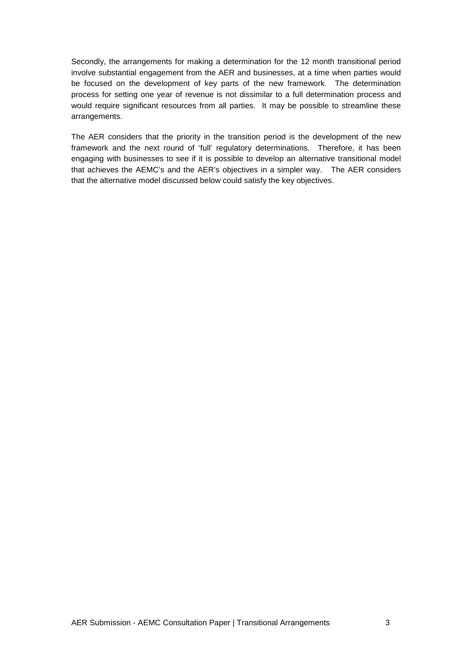Secondly, the arrangements for making a determination for the 12 month transitional period involve substantial engagement from the AER and businesses, at a time when parties would be focused on the development of key parts of the new framework. The determination process for setting one year of revenue is not dissimilar to a full determination process and would require significant resources from all parties. It may be possible to streamline these arrangements.

The AER considers that the priority in the transition period is the development of the new framework and the next round of 'full' regulatory determinations. Therefore, it has been engaging with businesses to see if it is possible to develop an alternative transitional model that achieves the AEMC's and the AER's objectives in a simpler way. The AER considers that the alternative model discussed below could satisfy the key objectives.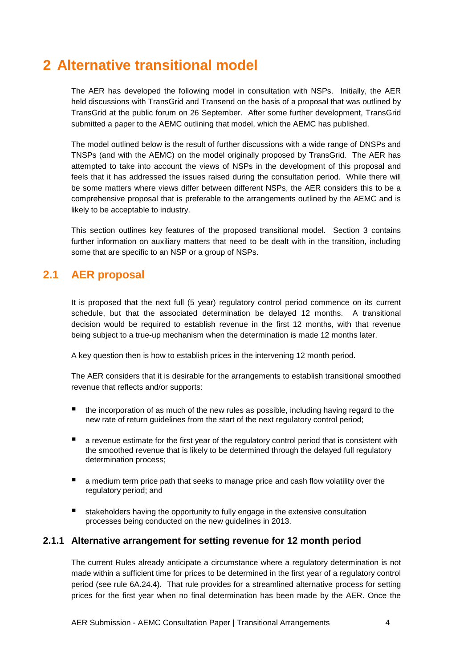## **2 Alternative transitional model**

The AER has developed the following model in consultation with NSPs. Initially, the AER held discussions with TransGrid and Transend on the basis of a proposal that was outlined by TransGrid at the public forum on 26 September. After some further development, TransGrid submitted a paper to the AEMC outlining that model, which the AEMC has published.

The model outlined below is the result of further discussions with a wide range of DNSPs and TNSPs (and with the AEMC) on the model originally proposed by TransGrid. The AER has attempted to take into account the views of NSPs in the development of this proposal and feels that it has addressed the issues raised during the consultation period. While there will be some matters where views differ between different NSPs, the AER considers this to be a comprehensive proposal that is preferable to the arrangements outlined by the AEMC and is likely to be acceptable to industry.

This section outlines key features of the proposed transitional model. Section 3 contains further information on auxiliary matters that need to be dealt with in the transition, including some that are specific to an NSP or a group of NSPs.

## **2.1 AER proposal**

It is proposed that the next full (5 year) regulatory control period commence on its current schedule, but that the associated determination be delayed 12 months. A transitional decision would be required to establish revenue in the first 12 months, with that revenue being subject to a true-up mechanism when the determination is made 12 months later.

A key question then is how to establish prices in the intervening 12 month period.

The AER considers that it is desirable for the arrangements to establish transitional smoothed revenue that reflects and/or supports:

- the incorporation of as much of the new rules as possible, including having regard to the new rate of return guidelines from the start of the next regulatory control period;
- a revenue estimate for the first year of the regulatory control period that is consistent with the smoothed revenue that is likely to be determined through the delayed full regulatory determination process;
- a medium term price path that seeks to manage price and cash flow volatility over the regulatory period; and
- stakeholders having the opportunity to fully engage in the extensive consultation processes being conducted on the new guidelines in 2013.

#### **2.1.1 Alternative arrangement for setting revenue for 12 month period**

The current Rules already anticipate a circumstance where a regulatory determination is not made within a sufficient time for prices to be determined in the first year of a regulatory control period (see rule 6A.24.4). That rule provides for a streamlined alternative process for setting prices for the first year when no final determination has been made by the AER. Once the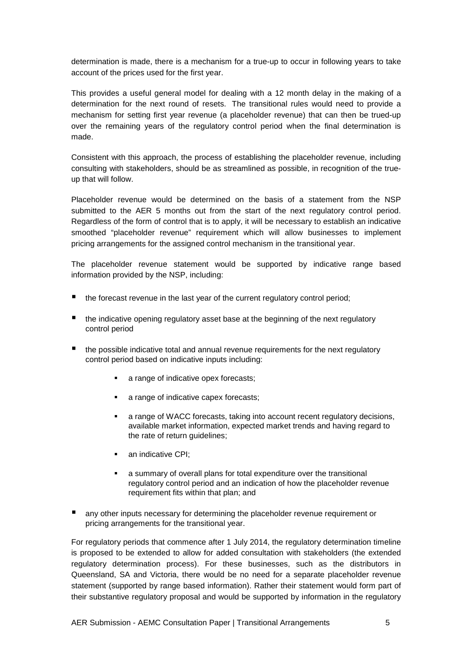determination is made, there is a mechanism for a true-up to occur in following years to take account of the prices used for the first year.

This provides a useful general model for dealing with a 12 month delay in the making of a determination for the next round of resets. The transitional rules would need to provide a mechanism for setting first year revenue (a placeholder revenue) that can then be trued-up over the remaining years of the regulatory control period when the final determination is made.

Consistent with this approach, the process of establishing the placeholder revenue, including consulting with stakeholders, should be as streamlined as possible, in recognition of the trueup that will follow.

Placeholder revenue would be determined on the basis of a statement from the NSP submitted to the AER 5 months out from the start of the next regulatory control period. Regardless of the form of control that is to apply, it will be necessary to establish an indicative smoothed "placeholder revenue" requirement which will allow businesses to implement pricing arrangements for the assigned control mechanism in the transitional year.

The placeholder revenue statement would be supported by indicative range based information provided by the NSP, including:

- the forecast revenue in the last year of the current regulatory control period;
- the indicative opening regulatory asset base at the beginning of the next regulatory control period
- **the possible indicative total and annual revenue requirements for the next regulatory** control period based on indicative inputs including:
	- **a** range of indicative opex forecasts;
	- **a** range of indicative capex forecasts;
	- a range of WACC forecasts, taking into account recent regulatory decisions, available market information, expected market trends and having regard to the rate of return guidelines;
	- an indicative CPI;
	- a summary of overall plans for total expenditure over the transitional regulatory control period and an indication of how the placeholder revenue requirement fits within that plan; and
- any other inputs necessary for determining the placeholder revenue requirement or pricing arrangements for the transitional year.

For regulatory periods that commence after 1 July 2014, the regulatory determination timeline is proposed to be extended to allow for added consultation with stakeholders (the extended regulatory determination process). For these businesses, such as the distributors in Queensland, SA and Victoria, there would be no need for a separate placeholder revenue statement (supported by range based information). Rather their statement would form part of their substantive regulatory proposal and would be supported by information in the regulatory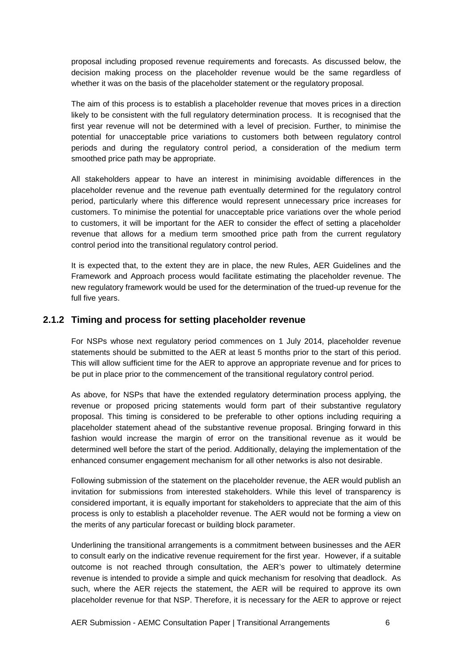proposal including proposed revenue requirements and forecasts. As discussed below, the decision making process on the placeholder revenue would be the same regardless of whether it was on the basis of the placeholder statement or the regulatory proposal.

The aim of this process is to establish a placeholder revenue that moves prices in a direction likely to be consistent with the full regulatory determination process. It is recognised that the first year revenue will not be determined with a level of precision. Further, to minimise the potential for unacceptable price variations to customers both between regulatory control periods and during the regulatory control period, a consideration of the medium term smoothed price path may be appropriate.

All stakeholders appear to have an interest in minimising avoidable differences in the placeholder revenue and the revenue path eventually determined for the regulatory control period, particularly where this difference would represent unnecessary price increases for customers. To minimise the potential for unacceptable price variations over the whole period to customers, it will be important for the AER to consider the effect of setting a placeholder revenue that allows for a medium term smoothed price path from the current regulatory control period into the transitional regulatory control period.

It is expected that, to the extent they are in place, the new Rules, AER Guidelines and the Framework and Approach process would facilitate estimating the placeholder revenue. The new regulatory framework would be used for the determination of the trued-up revenue for the full five years.

#### **2.1.2 Timing and process for setting placeholder revenue**

For NSPs whose next regulatory period commences on 1 July 2014, placeholder revenue statements should be submitted to the AER at least 5 months prior to the start of this period. This will allow sufficient time for the AER to approve an appropriate revenue and for prices to be put in place prior to the commencement of the transitional regulatory control period.

As above, for NSPs that have the extended regulatory determination process applying, the revenue or proposed pricing statements would form part of their substantive regulatory proposal. This timing is considered to be preferable to other options including requiring a placeholder statement ahead of the substantive revenue proposal. Bringing forward in this fashion would increase the margin of error on the transitional revenue as it would be determined well before the start of the period. Additionally, delaying the implementation of the enhanced consumer engagement mechanism for all other networks is also not desirable.

Following submission of the statement on the placeholder revenue, the AER would publish an invitation for submissions from interested stakeholders. While this level of transparency is considered important, it is equally important for stakeholders to appreciate that the aim of this process is only to establish a placeholder revenue. The AER would not be forming a view on the merits of any particular forecast or building block parameter.

Underlining the transitional arrangements is a commitment between businesses and the AER to consult early on the indicative revenue requirement for the first year. However, if a suitable outcome is not reached through consultation, the AER's power to ultimately determine revenue is intended to provide a simple and quick mechanism for resolving that deadlock. As such, where the AER rejects the statement, the AER will be required to approve its own placeholder revenue for that NSP. Therefore, it is necessary for the AER to approve or reject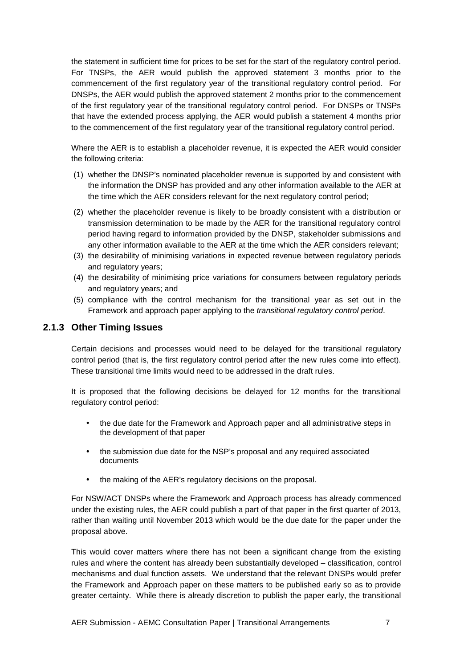the statement in sufficient time for prices to be set for the start of the regulatory control period. For TNSPs, the AER would publish the approved statement 3 months prior to the commencement of the first regulatory year of the transitional regulatory control period. For DNSPs, the AER would publish the approved statement 2 months prior to the commencement of the first regulatory year of the transitional regulatory control period. For DNSPs or TNSPs that have the extended process applying, the AER would publish a statement 4 months prior to the commencement of the first regulatory year of the transitional regulatory control period.

Where the AER is to establish a placeholder revenue, it is expected the AER would consider the following criteria:

- (1) whether the DNSP's nominated placeholder revenue is supported by and consistent with the information the DNSP has provided and any other information available to the AER at the time which the AER considers relevant for the next regulatory control period;
- (2) whether the placeholder revenue is likely to be broadly consistent with a distribution or transmission determination to be made by the AER for the transitional regulatory control period having regard to information provided by the DNSP, stakeholder submissions and any other information available to the AER at the time which the AER considers relevant;
- (3) the desirability of minimising variations in expected revenue between regulatory periods and regulatory years;
- (4) the desirability of minimising price variations for consumers between regulatory periods and regulatory years; and
- (5) compliance with the control mechanism for the transitional year as set out in the Framework and approach paper applying to the transitional regulatory control period.

#### **2.1.3 Other Timing Issues**

Certain decisions and processes would need to be delayed for the transitional regulatory control period (that is, the first regulatory control period after the new rules come into effect). These transitional time limits would need to be addressed in the draft rules.

It is proposed that the following decisions be delayed for 12 months for the transitional regulatory control period:

- the due date for the Framework and Approach paper and all administrative steps in the development of that paper
- the submission due date for the NSP's proposal and any required associated documents
- the making of the AER's regulatory decisions on the proposal.

For NSW/ACT DNSPs where the Framework and Approach process has already commenced under the existing rules, the AER could publish a part of that paper in the first quarter of 2013, rather than waiting until November 2013 which would be the due date for the paper under the proposal above.

This would cover matters where there has not been a significant change from the existing rules and where the content has already been substantially developed – classification, control mechanisms and dual function assets. We understand that the relevant DNSPs would prefer the Framework and Approach paper on these matters to be published early so as to provide greater certainty. While there is already discretion to publish the paper early, the transitional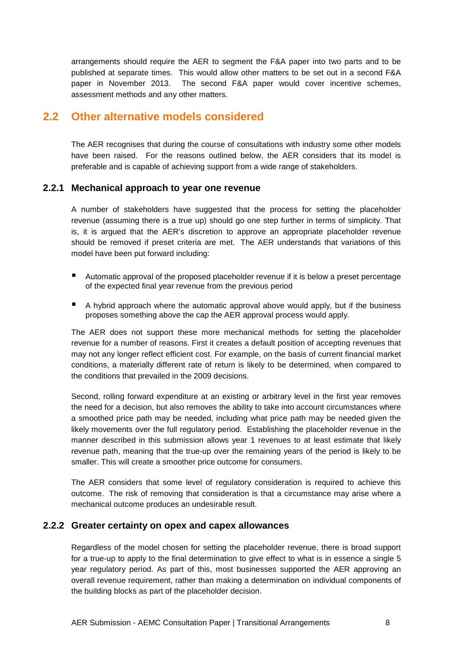arrangements should require the AER to segment the F&A paper into two parts and to be published at separate times. This would allow other matters to be set out in a second F&A paper in November 2013. The second F&A paper would cover incentive schemes, assessment methods and any other matters.

## **2.2 Other alternative models considered**

The AER recognises that during the course of consultations with industry some other models have been raised. For the reasons outlined below, the AER considers that its model is preferable and is capable of achieving support from a wide range of stakeholders.

#### **2.2.1 Mechanical approach to year one revenue**

A number of stakeholders have suggested that the process for setting the placeholder revenue (assuming there is a true up) should go one step further in terms of simplicity. That is, it is argued that the AER's discretion to approve an appropriate placeholder revenue should be removed if preset criteria are met. The AER understands that variations of this model have been put forward including:

- Automatic approval of the proposed placeholder revenue if it is below a preset percentage of the expected final year revenue from the previous period
- $\blacksquare$  A hybrid approach where the automatic approval above would apply, but if the business proposes something above the cap the AER approval process would apply.

The AER does not support these more mechanical methods for setting the placeholder revenue for a number of reasons. First it creates a default position of accepting revenues that may not any longer reflect efficient cost. For example, on the basis of current financial market conditions, a materially different rate of return is likely to be determined, when compared to the conditions that prevailed in the 2009 decisions.

Second, rolling forward expenditure at an existing or arbitrary level in the first year removes the need for a decision, but also removes the ability to take into account circumstances where a smoothed price path may be needed, including what price path may be needed given the likely movements over the full regulatory period. Establishing the placeholder revenue in the manner described in this submission allows year 1 revenues to at least estimate that likely revenue path, meaning that the true-up over the remaining years of the period is likely to be smaller. This will create a smoother price outcome for consumers.

The AER considers that some level of regulatory consideration is required to achieve this outcome. The risk of removing that consideration is that a circumstance may arise where a mechanical outcome produces an undesirable result.

#### **2.2.2 Greater certainty on opex and capex allowances**

Regardless of the model chosen for setting the placeholder revenue, there is broad support for a true-up to apply to the final determination to give effect to what is in essence a single 5 year regulatory period. As part of this, most businesses supported the AER approving an overall revenue requirement, rather than making a determination on individual components of the building blocks as part of the placeholder decision.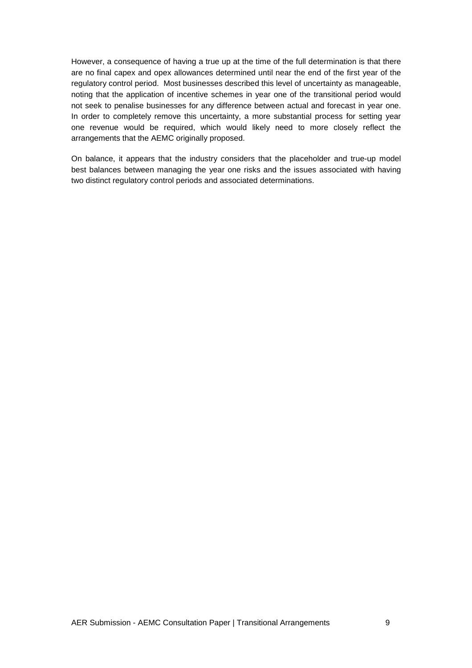However, a consequence of having a true up at the time of the full determination is that there are no final capex and opex allowances determined until near the end of the first year of the regulatory control period. Most businesses described this level of uncertainty as manageable, noting that the application of incentive schemes in year one of the transitional period would not seek to penalise businesses for any difference between actual and forecast in year one. In order to completely remove this uncertainty, a more substantial process for setting year one revenue would be required, which would likely need to more closely reflect the arrangements that the AEMC originally proposed.

On balance, it appears that the industry considers that the placeholder and true-up model best balances between managing the year one risks and the issues associated with having two distinct regulatory control periods and associated determinations.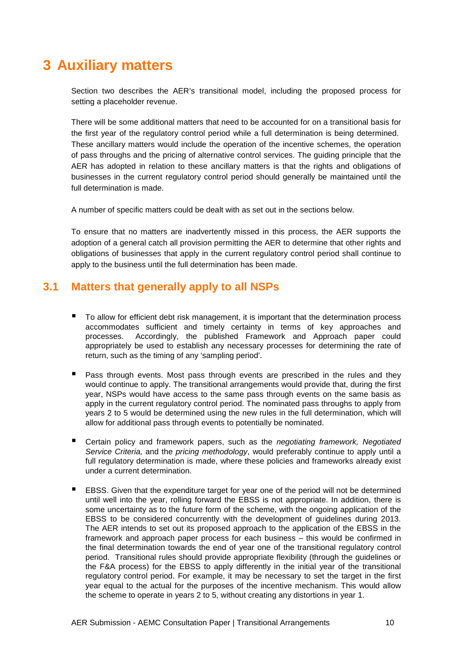## **3 Auxiliary matters**

Section two describes the AER's transitional model, including the proposed process for setting a placeholder revenue.

There will be some additional matters that need to be accounted for on a transitional basis for the first year of the regulatory control period while a full determination is being determined. These ancillary matters would include the operation of the incentive schemes, the operation of pass throughs and the pricing of alternative control services. The guiding principle that the AER has adopted in relation to these ancillary matters is that the rights and obligations of businesses in the current regulatory control period should generally be maintained until the full determination is made.

A number of specific matters could be dealt with as set out in the sections below.

To ensure that no matters are inadvertently missed in this process, the AER supports the adoption of a general catch all provision permitting the AER to determine that other rights and obligations of businesses that apply in the current regulatory control period shall continue to apply to the business until the full determination has been made.

### **3.1 Matters that generally apply to all NSPs**

- To allow for efficient debt risk management, it is important that the determination process accommodates sufficient and timely certainty in terms of key approaches and processes. Accordingly, the published Framework and Approach paper could appropriately be used to establish any necessary processes for determining the rate of return, such as the timing of any 'sampling period'.
- Pass through events. Most pass through events are prescribed in the rules and they would continue to apply. The transitional arrangements would provide that, during the first year, NSPs would have access to the same pass through events on the same basis as apply in the current regulatory control period. The nominated pass throughs to apply from years 2 to 5 would be determined using the new rules in the full determination, which will allow for additional pass through events to potentially be nominated.
- Certain policy and framework papers, such as the negotiating framework, Negotiated Service Criteria, and the pricing methodology, would preferably continue to apply until a full regulatory determination is made, where these policies and frameworks already exist under a current determination.
- EBSS. Given that the expenditure target for year one of the period will not be determined until well into the year, rolling forward the EBSS is not appropriate. In addition, there is some uncertainty as to the future form of the scheme, with the ongoing application of the EBSS to be considered concurrently with the development of guidelines during 2013. The AER intends to set out its proposed approach to the application of the EBSS in the framework and approach paper process for each business – this would be confirmed in the final determination towards the end of year one of the transitional regulatory control period. Transitional rules should provide appropriate flexibility (through the guidelines or the F&A process) for the EBSS to apply differently in the initial year of the transitional regulatory control period. For example, it may be necessary to set the target in the first year equal to the actual for the purposes of the incentive mechanism. This would allow the scheme to operate in years 2 to 5, without creating any distortions in year 1.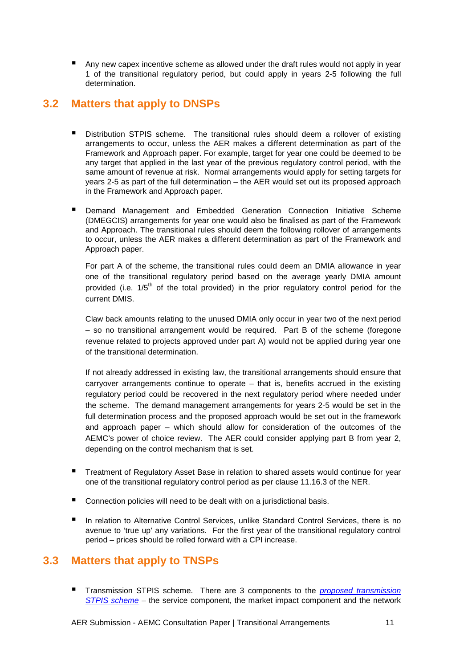Any new capex incentive scheme as allowed under the draft rules would not apply in year 1 of the transitional regulatory period, but could apply in years 2-5 following the full determination.

## **3.2 Matters that apply to DNSPs**

- **Distribution STPIS scheme.** The transitional rules should deem a rollover of existing arrangements to occur, unless the AER makes a different determination as part of the Framework and Approach paper. For example, target for year one could be deemed to be any target that applied in the last year of the previous regulatory control period, with the same amount of revenue at risk. Normal arrangements would apply for setting targets for years 2-5 as part of the full determination – the AER would set out its proposed approach in the Framework and Approach paper.
- **•** Demand Management and Embedded Generation Connection Initiative Scheme (DMEGCIS) arrangements for year one would also be finalised as part of the Framework and Approach. The transitional rules should deem the following rollover of arrangements to occur, unless the AER makes a different determination as part of the Framework and Approach paper.

For part A of the scheme, the transitional rules could deem an DMIA allowance in year one of the transitional regulatory period based on the average yearly DMIA amount provided (i.e.  $1/5<sup>th</sup>$  of the total provided) in the prior regulatory control period for the current DMIS.

Claw back amounts relating to the unused DMIA only occur in year two of the next period – so no transitional arrangement would be required. Part B of the scheme (foregone revenue related to projects approved under part A) would not be applied during year one of the transitional determination.

If not already addressed in existing law, the transitional arrangements should ensure that carryover arrangements continue to operate – that is, benefits accrued in the existing regulatory period could be recovered in the next regulatory period where needed under the scheme. The demand management arrangements for years 2-5 would be set in the full determination process and the proposed approach would be set out in the framework and approach paper – which should allow for consideration of the outcomes of the AEMC's power of choice review. The AER could consider applying part B from year 2, depending on the control mechanism that is set.

- Treatment of Regulatory Asset Base in relation to shared assets would continue for year one of the transitional regulatory control period as per clause 11.16.3 of the NER.
- Connection policies will need to be dealt with on a jurisdictional basis.
- In relation to Alternative Control Services, unlike Standard Control Services, there is no avenue to 'true up' any variations. For the first year of the transitional regulatory control period – prices should be rolled forward with a CPI increase.

### **3.3 Matters that apply to TNSPs**

Transmission STPIS scheme. There are 3 components to the *proposed transmission* STPIS scheme – the service component, the market impact component and the network

AER Submission - AEMC Consultation Paper | Transitional Arrangements 11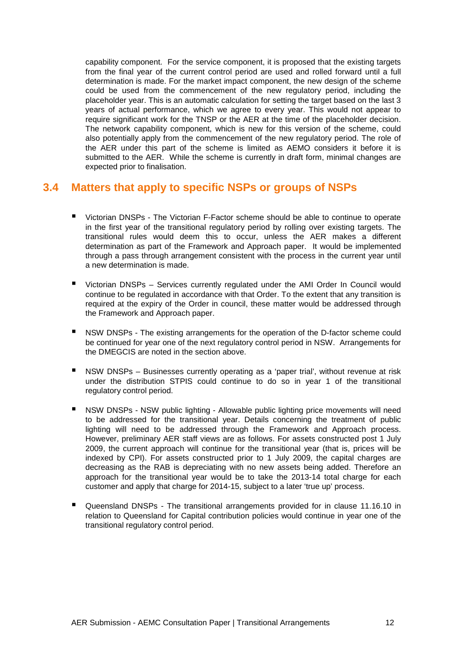capability component. For the service component, it is proposed that the existing targets from the final year of the current control period are used and rolled forward until a full determination is made. For the market impact component, the new design of the scheme could be used from the commencement of the new regulatory period, including the placeholder year. This is an automatic calculation for setting the target based on the last 3 years of actual performance, which we agree to every year. This would not appear to require significant work for the TNSP or the AER at the time of the placeholder decision. The network capability component, which is new for this version of the scheme, could also potentially apply from the commencement of the new regulatory period. The role of the AER under this part of the scheme is limited as AEMO considers it before it is submitted to the AER. While the scheme is currently in draft form, minimal changes are expected prior to finalisation.

### **3.4 Matters that apply to specific NSPs or groups of NSPs**

- Victorian DNSPs The Victorian F-Factor scheme should be able to continue to operate in the first year of the transitional regulatory period by rolling over existing targets. The transitional rules would deem this to occur, unless the AER makes a different determination as part of the Framework and Approach paper. It would be implemented through a pass through arrangement consistent with the process in the current year until a new determination is made.
- Victorian DNSPs Services currently regulated under the AMI Order In Council would continue to be regulated in accordance with that Order. To the extent that any transition is required at the expiry of the Order in council, these matter would be addressed through the Framework and Approach paper.
- NSW DNSPs The existing arrangements for the operation of the D-factor scheme could be continued for year one of the next regulatory control period in NSW. Arrangements for the DMEGCIS are noted in the section above.
- NSW DNSPs Businesses currently operating as a 'paper trial', without revenue at risk under the distribution STPIS could continue to do so in year 1 of the transitional regulatory control period.
- NSW DNSPs NSW public lighting Allowable public lighting price movements will need to be addressed for the transitional year. Details concerning the treatment of public lighting will need to be addressed through the Framework and Approach process. However, preliminary AER staff views are as follows. For assets constructed post 1 July 2009, the current approach will continue for the transitional year (that is, prices will be indexed by CPI). For assets constructed prior to 1 July 2009, the capital charges are decreasing as the RAB is depreciating with no new assets being added. Therefore an approach for the transitional year would be to take the 2013-14 total charge for each customer and apply that charge for 2014-15, subject to a later 'true up' process.
- Queensland DNSPs The transitional arrangements provided for in clause 11.16.10 in relation to Queensland for Capital contribution policies would continue in year one of the transitional regulatory control period.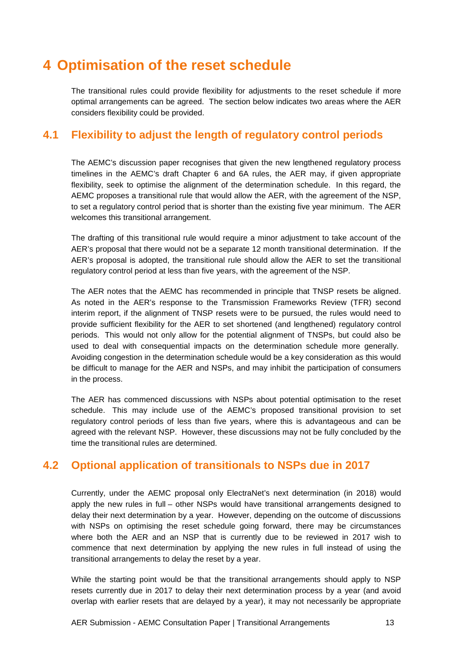## **4 Optimisation of the reset schedule**

The transitional rules could provide flexibility for adjustments to the reset schedule if more optimal arrangements can be agreed. The section below indicates two areas where the AER considers flexibility could be provided.

## **4.1 Flexibility to adjust the length of regulatory control periods**

The AEMC's discussion paper recognises that given the new lengthened regulatory process timelines in the AEMC's draft Chapter 6 and 6A rules, the AER may, if given appropriate flexibility, seek to optimise the alignment of the determination schedule. In this regard, the AEMC proposes a transitional rule that would allow the AER, with the agreement of the NSP, to set a regulatory control period that is shorter than the existing five year minimum. The AER welcomes this transitional arrangement.

The drafting of this transitional rule would require a minor adjustment to take account of the AER's proposal that there would not be a separate 12 month transitional determination. If the AER's proposal is adopted, the transitional rule should allow the AER to set the transitional regulatory control period at less than five years, with the agreement of the NSP.

The AER notes that the AEMC has recommended in principle that TNSP resets be aligned. As noted in the AER's response to the Transmission Frameworks Review (TFR) second interim report, if the alignment of TNSP resets were to be pursued, the rules would need to provide sufficient flexibility for the AER to set shortened (and lengthened) regulatory control periods. This would not only allow for the potential alignment of TNSPs, but could also be used to deal with consequential impacts on the determination schedule more generally. Avoiding congestion in the determination schedule would be a key consideration as this would be difficult to manage for the AER and NSPs, and may inhibit the participation of consumers in the process.

The AER has commenced discussions with NSPs about potential optimisation to the reset schedule. This may include use of the AEMC's proposed transitional provision to set regulatory control periods of less than five years, where this is advantageous and can be agreed with the relevant NSP. However, these discussions may not be fully concluded by the time the transitional rules are determined.

## **4.2 Optional application of transitionals to NSPs due in 2017**

Currently, under the AEMC proposal only ElectraNet's next determination (in 2018) would apply the new rules in full – other NSPs would have transitional arrangements designed to delay their next determination by a year. However, depending on the outcome of discussions with NSPs on optimising the reset schedule going forward, there may be circumstances where both the AER and an NSP that is currently due to be reviewed in 2017 wish to commence that next determination by applying the new rules in full instead of using the transitional arrangements to delay the reset by a year.

While the starting point would be that the transitional arrangements should apply to NSP resets currently due in 2017 to delay their next determination process by a year (and avoid overlap with earlier resets that are delayed by a year), it may not necessarily be appropriate